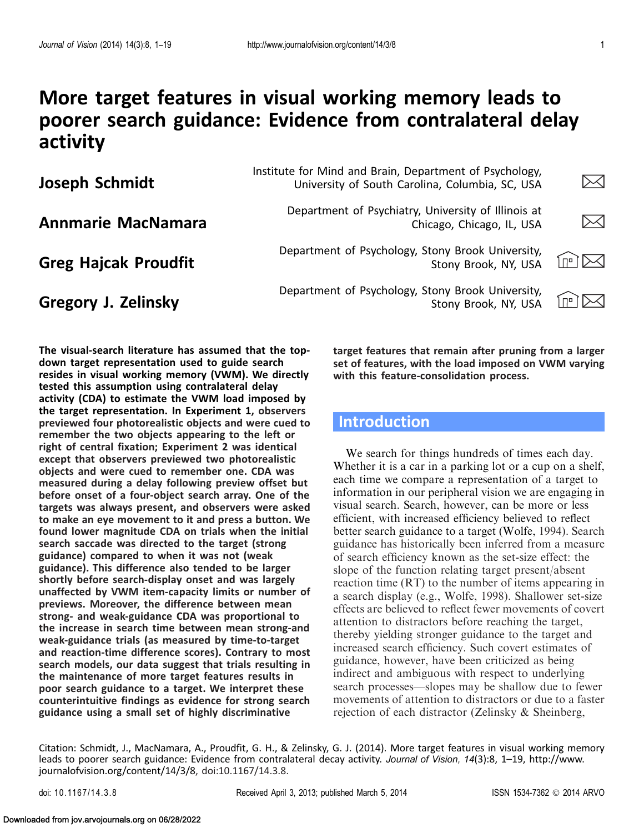# More target features in visual working memory leads to poorer search guidance: Evidence from contralateral delay activity

Institute for Mind and Brain, Department of Psychology,<br>Iniversity of South Carolina, Columbia, SC, USA

**Annmarie MacNamara**  $\overline{a}$  Department of Psychiatry, University of Illinois at  $\overline{a}$  Department of Psychiatry, University of Illinois at  $\overline{a}$ Chicago, Chicago, IL, USA

Greg Hajcak Proudfit **A Broughly Assembly** Department of Psychology, Stony Brook University, **Greg Hajcak Proudfit** Stony Brook, NY, USA

Gregory J. Zelinsky **Brook University,** Bepartment of Psychology, Stony Brook University, **Gregory J. Zelinsky** Stony Brook, NY, USA



The visual-search literature has assumed that the topdown target representation used to guide search resides in visual working memory (VWM). We directly tested this assumption using contralateral delay activity (CDA) to estimate the VWM load imposed by the target representation. In [Experiment 1,](#page-2-0) observers previewed four photorealistic objects and were cued to remember the two objects appearing to the left or right of central fixation; [Experiment 2](#page-9-0) was identical except that observers previewed two photorealistic objects and were cued to remember one. CDA was measured during a delay following preview offset but before onset of a four-object search array. One of the targets was always present, and observers were asked to make an eye movement to it and press a button. We found lower magnitude CDA on trials when the initial search saccade was directed to the target (strong guidance) compared to when it was not (weak guidance). This difference also tended to be larger shortly before search-display onset and was largely unaffected by VWM item-capacity limits or number of previews. Moreover, the difference between mean strong- and weak-guidance CDA was proportional to the increase in search time between mean strong-and weak-guidance trials (as measured by time-to-target and reaction-time difference scores). Contrary to most search models, our data suggest that trials resulting in the maintenance of more target features results in poor search guidance to a target. We interpret these counterintuitive findings as evidence for strong search guidance using a small set of highly discriminative

target features that remain after pruning from a larger set of features, with the load imposed on VWM varying with this feature-consolidation process.

# **Introduction**

We search for things hundreds of times each day. Whether it is a car in a parking lot or a cup on a shelf, each time we compare a representation of a target to information in our peripheral vision we are engaging in visual search. Search, however, can be more or less efficient, with increased efficiency believed to reflect better search guidance to a target (Wolfe, [1994](#page-17-0)). Search guidance has historically been inferred from a measure of search efficiency known as the set-size effect: the slope of the function relating target present/absent reaction time (RT) to the number of items appearing in a search display (e.g., Wolfe, [1998](#page-17-0)). Shallower set-size effects are believed to reflect fewer movements of covert attention to distractors before reaching the target, thereby yielding stronger guidance to the target and increased search efficiency. Such covert estimates of guidance, however, have been criticized as being indirect and ambiguous with respect to underlying search processes—slopes may be shallow due to fewer movements of attention to distractors or due to a faster rejection of each distractor (Zelinsky & Sheinberg,

Citation: Schmidt, J., MacNamara, A., Proudfit, G. H., & Zelinsky, G. J. (2014). More target features in visual working memory leads to poorer search guidance: Evidence from contralateral decay activity. Journal of Vision, 14(3):8, 1–19, http://www. journalofvision.org/content/14/3/8, doi:10.1167/14.3.8.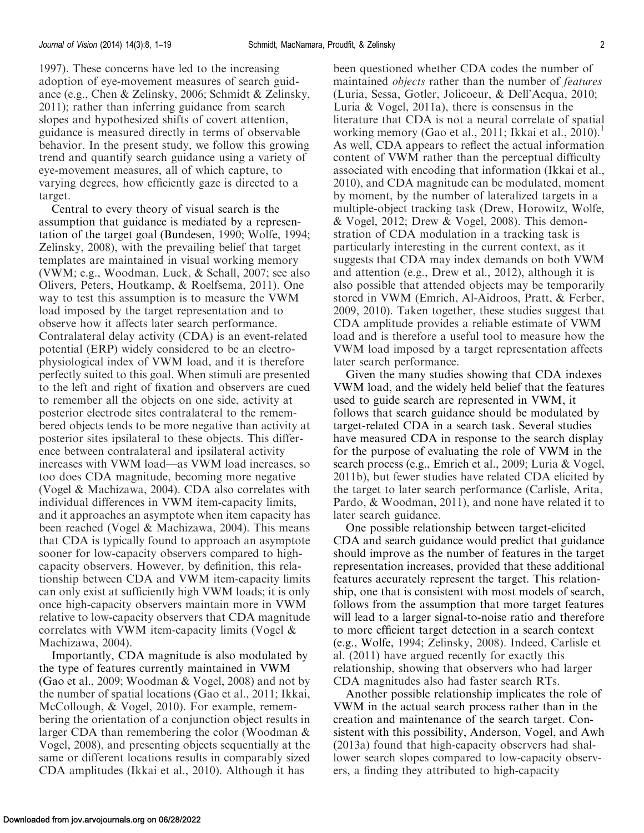[1997\)](#page-18-0). These concerns have led to the increasing adoption of eye-movement measures of search guidance (e.g., Chen & Zelinsky, [2006](#page-16-0); Schmidt & Zelinsky, [2011\)](#page-17-0); rather than inferring guidance from search slopes and hypothesized shifts of covert attention, guidance is measured directly in terms of observable behavior. In the present study, we follow this growing trend and quantify search guidance using a variety of eye-movement measures, all of which capture, to varying degrees, how efficiently gaze is directed to a target.

Central to every theory of visual search is the assumption that guidance is mediated by a representation of the target goal (Bundesen, [1990](#page-16-0); Wolfe, [1994](#page-17-0); Zelinsky, [2008](#page-18-0)), with the prevailing belief that target templates are maintained in visual working memory (VWM; e.g., Woodman, Luck, & Schall, [2007](#page-17-0); see also Olivers, Peters, Houtkamp, & Roelfsema, [2011](#page-17-0)). One way to test this assumption is to measure the VWM load imposed by the target representation and to observe how it affects later search performance. Contralateral delay activity (CDA) is an event-related potential (ERP) widely considered to be an electrophysiological index of VWM load, and it is therefore perfectly suited to this goal. When stimuli are presented to the left and right of fixation and observers are cued to remember all the objects on one side, activity at posterior electrode sites contralateral to the remembered objects tends to be more negative than activity at posterior sites ipsilateral to these objects. This difference between contralateral and ipsilateral activity increases with VWM load—as VWM load increases, so too does CDA magnitude, becoming more negative (Vogel & Machizawa, [2004](#page-17-0)). CDA also correlates with individual differences in VWM item-capacity limits, and it approaches an asymptote when item capacity has been reached (Vogel & Machizawa, [2004\)](#page-17-0). This means that CDA is typically found to approach an asymptote sooner for low-capacity observers compared to highcapacity observers. However, by definition, this relationship between CDA and VWM item-capacity limits can only exist at sufficiently high VWM loads; it is only once high-capacity observers maintain more in VWM relative to low-capacity observers that CDA magnitude correlates with VWM item-capacity limits (Vogel & Machizawa, [2004](#page-17-0)).

Importantly, CDA magnitude is also modulated by the type of features currently maintained in VWM (Gao et al., [2009](#page-17-0); Woodman & Vogel, [2008](#page-18-0)) and not by the number of spatial locations (Gao et al., [2011;](#page-17-0) Ikkai, McCollough, & Vogel, [2010](#page-17-0)). For example, remembering the orientation of a conjunction object results in larger CDA than remembering the color (Woodman & Vogel, [2008](#page-18-0)), and presenting objects sequentially at the same or different locations results in comparably sized CDA amplitudes (Ikkai et al., [2010\)](#page-17-0). Although it has

been questioned whether CDA codes the number of maintained objects rather than the number of features (Luria, Sessa, Gotler, Jolicoeur, & Dell'Acqua, [2010](#page-17-0); Luria & Vogel, [2011a\)](#page-17-0), there is consensus in the literature that CDA is not a neural correlate of spatial working memory (Gao et al., [2011](#page-17-0); Ikkai et al., [2010](#page-17-0)).<sup>[1](#page-15-0)</sup> As well, CDA appears to reflect the actual information content of VWM rather than the perceptual difficulty associated with encoding that information (Ikkai et al., [2010\)](#page-17-0), and CDA magnitude can be modulated, moment by moment, by the number of lateralized targets in a multiple-object tracking task (Drew, Horowitz, Wolfe, & Vogel, [2012;](#page-16-0) Drew & Vogel, [2008\)](#page-16-0). This demonstration of CDA modulation in a tracking task is particularly interesting in the current context, as it suggests that CDA may index demands on both VWM and attention (e.g., Drew et al., [2012](#page-16-0)), although it is also possible that attended objects may be temporarily stored in VWM (Emrich, Al-Aidroos, Pratt, & Ferber, [2009, 2010](#page-17-0)). Taken together, these studies suggest that CDA amplitude provides a reliable estimate of VWM load and is therefore a useful tool to measure how the VWM load imposed by a target representation affects later search performance.

Given the many studies showing that CDA indexes VWM load, and the widely held belief that the features used to guide search are represented in VWM, it follows that search guidance should be modulated by target-related CDA in a search task. Several studies have measured CDA in response to the search display for the purpose of evaluating the role of VWM in the search process (e.g., Emrich et al., [2009](#page-17-0); Luria & Vogel, [2011b\)](#page-17-0), but fewer studies have related CDA elicited by the target to later search performance (Carlisle, Arita, Pardo, & Woodman, [2011](#page-16-0)), and none have related it to later search guidance.

One possible relationship between target-elicited CDA and search guidance would predict that guidance should improve as the number of features in the target representation increases, provided that these additional features accurately represent the target. This relationship, one that is consistent with most models of search, follows from the assumption that more target features will lead to a larger signal-to-noise ratio and therefore to more efficient target detection in a search context (e.g., Wolfe, [1994](#page-17-0); Zelinsky, [2008](#page-18-0)). Indeed, Carlisle et al. [\(2011\)](#page-16-0) have argued recently for exactly this relationship, showing that observers who had larger CDA magnitudes also had faster search RTs.

Another possible relationship implicates the role of VWM in the actual search process rather than in the creation and maintenance of the search target. Consistent with this possibility, Anderson, Vogel, and Awh ([2013a\)](#page-16-0) found that high-capacity observers had shallower search slopes compared to low-capacity observers, a finding they attributed to high-capacity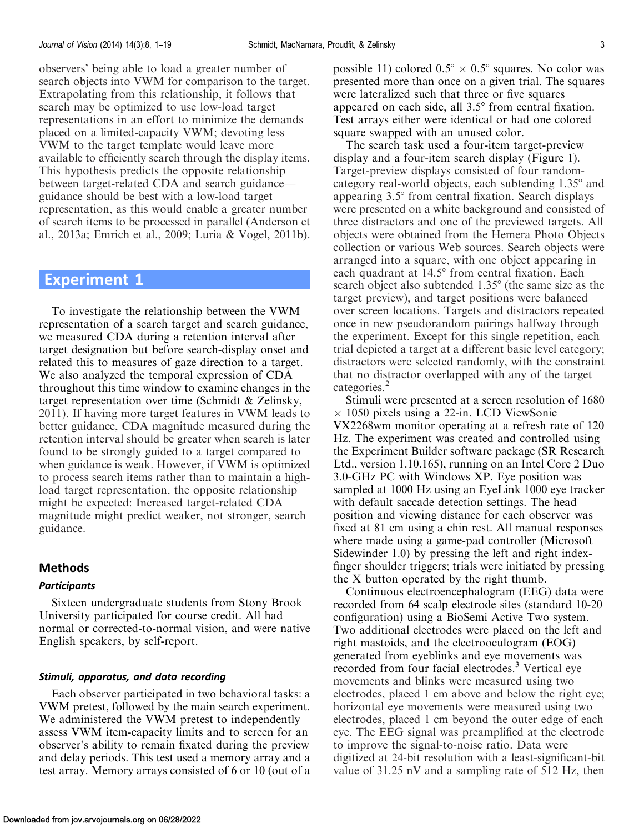<span id="page-2-0"></span>observers' being able to load a greater number of search objects into VWM for comparison to the target. Extrapolating from this relationship, it follows that search may be optimized to use low-load target representations in an effort to minimize the demands placed on a limited-capacity VWM; devoting less VWM to the target template would leave more available to efficiently search through the display items. This hypothesis predicts the opposite relationship between target-related CDA and search guidance guidance should be best with a low-load target representation, as this would enable a greater number of search items to be processed in parallel (Anderson et al., [2013a](#page-16-0); Emrich et al., [2009;](#page-17-0) Luria & Vogel, [2011b](#page-17-0)).

## Experiment 1

To investigate the relationship between the VWM representation of a search target and search guidance, we measured CDA during a retention interval after target designation but before search-display onset and related this to measures of gaze direction to a target. We also analyzed the temporal expression of CDA throughout this time window to examine changes in the target representation over time (Schmidt & Zelinsky, [2011\)](#page-17-0). If having more target features in VWM leads to better guidance, CDA magnitude measured during the retention interval should be greater when search is later found to be strongly guided to a target compared to when guidance is weak. However, if VWM is optimized to process search items rather than to maintain a highload target representation, the opposite relationship might be expected: Increased target-related CDA magnitude might predict weaker, not stronger, search guidance.

### Methods

#### **Participants**

Sixteen undergraduate students from Stony Brook University participated for course credit. All had normal or corrected-to-normal vision, and were native English speakers, by self-report.

#### Stimuli, apparatus, and data recording

Each observer participated in two behavioral tasks: a VWM pretest, followed by the main search experiment. We administered the VWM pretest to independently assess VWM item-capacity limits and to screen for an observer's ability to remain fixated during the preview and delay periods. This test used a memory array and a test array. Memory arrays consisted of 6 or 10 (out of a possible 11) colored  $0.5^{\circ} \times 0.5^{\circ}$  squares. No color was presented more than once on a given trial. The squares were lateralized such that three or five squares appeared on each side, all  $3.5^{\circ}$  from central fixation. Test arrays either were identical or had one colored square swapped with an unused color.

The search task used a four-item target-preview display and a four-item search display [\(Figure 1](#page-3-0)). Target-preview displays consisted of four randomcategory real-world objects, each subtending  $1.35^{\circ}$  and appearing  $3.5^{\circ}$  from central fixation. Search displays were presented on a white background and consisted of three distractors and one of the previewed targets. All objects were obtained from the Hemera Photo Objects collection or various Web sources. Search objects were arranged into a square, with one object appearing in each quadrant at  $14.5^{\circ}$  from central fixation. Each search object also subtended  $1.35^{\circ}$  (the same size as the target preview), and target positions were balanced over screen locations. Targets and distractors repeated once in new pseudorandom pairings halfway through the experiment. Except for this single repetition, each trial depicted a target at a different basic level category; distractors were selected randomly, with the constraint that no distractor overlapped with any of the target categories.<sup>[2](#page-15-0)</sup>

Stimuli were presented at a screen resolution of 1680  $\times$  1050 pixels using a 22-in. LCD ViewSonic VX2268wm monitor operating at a refresh rate of 120 Hz. The experiment was created and controlled using the Experiment Builder software package (SR Research Ltd., version 1.10.165), running on an Intel Core 2 Duo 3.0-GHz PC with Windows XP. Eye position was sampled at 1000 Hz using an EyeLink 1000 eye tracker with default saccade detection settings. The head position and viewing distance for each observer was fixed at 81 cm using a chin rest. All manual responses where made using a game-pad controller (Microsoft Sidewinder 1.0) by pressing the left and right indexfinger shoulder triggers; trials were initiated by pressing the X button operated by the right thumb.

Continuous electroencephalogram (EEG) data were recorded from 64 scalp electrode sites (standard 10-20 configuration) using a BioSemi Active Two system. Two additional electrodes were placed on the left and right mastoids, and the electrooculogram (EOG) generated from eyeblinks and eye movements was recorded from four facial electrodes.<sup>[3](#page-15-0)</sup> Vertical eye movements and blinks were measured using two electrodes, placed 1 cm above and below the right eye; horizontal eye movements were measured using two electrodes, placed 1 cm beyond the outer edge of each eye. The EEG signal was preamplified at the electrode to improve the signal-to-noise ratio. Data were digitized at 24-bit resolution with a least-significant-bit value of 31.25 nV and a sampling rate of 512 Hz, then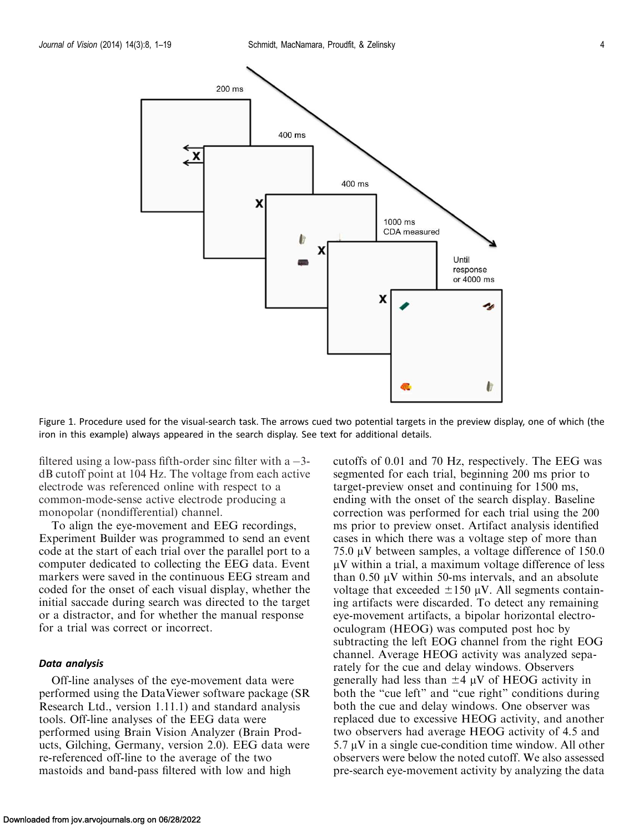<span id="page-3-0"></span>

Figure 1. Procedure used for the visual-search task. The arrows cued two potential targets in the preview display, one of which (the iron in this example) always appeared in the search display. See text for additional details.

filtered using a low-pass fifth-order sinc filter with  $a - 3$ dB cutoff point at 104 Hz. The voltage from each active electrode was referenced online with respect to a common-mode-sense active electrode producing a monopolar (nondifferential) channel.

To align the eye-movement and EEG recordings, Experiment Builder was programmed to send an event code at the start of each trial over the parallel port to a computer dedicated to collecting the EEG data. Event markers were saved in the continuous EEG stream and coded for the onset of each visual display, whether the initial saccade during search was directed to the target or a distractor, and for whether the manual response for a trial was correct or incorrect.

#### Data analysis

Off-line analyses of the eye-movement data were performed using the DataViewer software package (SR Research Ltd., version 1.11.1) and standard analysis tools. Off-line analyses of the EEG data were performed using Brain Vision Analyzer (Brain Products, Gilching, Germany, version 2.0). EEG data were re-referenced off-line to the average of the two mastoids and band-pass filtered with low and high

cutoffs of 0.01 and 70 Hz, respectively. The EEG was segmented for each trial, beginning 200 ms prior to target-preview onset and continuing for 1500 ms, ending with the onset of the search display. Baseline correction was performed for each trial using the 200 ms prior to preview onset. Artifact analysis identified cases in which there was a voltage step of more than 75.0  $\mu$ V between samples, a voltage difference of 150.0  $\mu$ V within a trial, a maximum voltage difference of less than  $0.50 \mu V$  within 50-ms intervals, and an absolute voltage that exceeded  $\pm 150 \mu V$ . All segments containing artifacts were discarded. To detect any remaining eye-movement artifacts, a bipolar horizontal electrooculogram (HEOG) was computed post hoc by subtracting the left EOG channel from the right EOG channel. Average HEOG activity was analyzed separately for the cue and delay windows. Observers generally had less than  $\pm 4 \mu V$  of HEOG activity in both the "cue left" and "cue right" conditions during both the cue and delay windows. One observer was replaced due to excessive HEOG activity, and another two observers had average HEOG activity of 4.5 and 5.7  $\mu$ V in a single cue-condition time window. All other observers were below the noted cutoff. We also assessed pre-search eye-movement activity by analyzing the data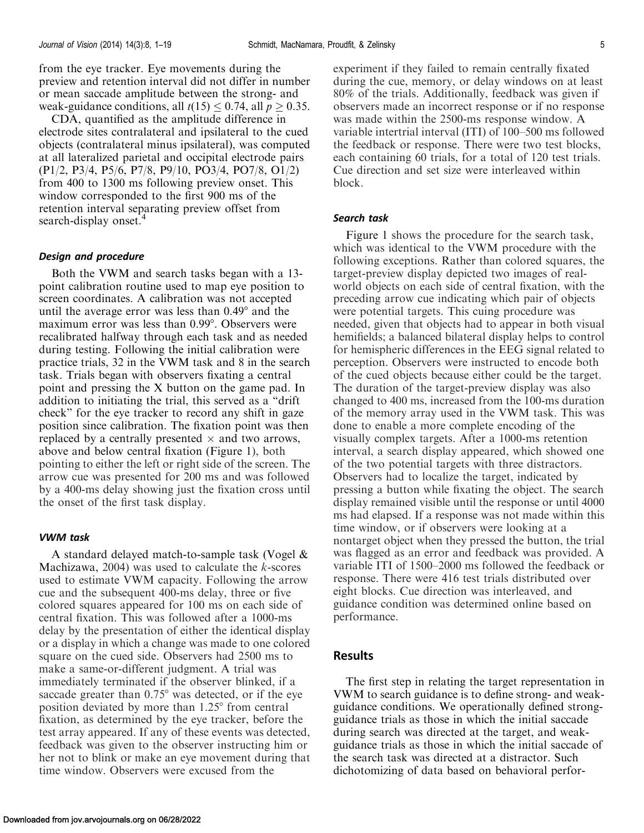from the eye tracker. Eye movements during the preview and retention interval did not differ in number or mean saccade amplitude between the strong- and weak-guidance conditions, all  $t(15) \le 0.74$ , all  $p \ge 0.35$ .

CDA, quantified as the amplitude difference in electrode sites contralateral and ipsilateral to the cued objects (contralateral minus ipsilateral), was computed at all lateralized parietal and occipital electrode pairs (P1/2, P3/4, P5/6, P7/8, P9/10, PO3/4, PO7/8, O1/2) from 400 to 1300 ms following preview onset. This window corresponded to the first 900 ms of the retention interval separating preview offset from search-display onset.<sup>[4](#page-15-0)</sup>

#### Design and procedure

Both the VWM and search tasks began with a 13 point calibration routine used to map eye position to screen coordinates. A calibration was not accepted until the average error was less than  $0.49^{\circ}$  and the maximum error was less than 0.99°. Observers were recalibrated halfway through each task and as needed during testing. Following the initial calibration were practice trials, 32 in the VWM task and 8 in the search task. Trials began with observers fixating a central point and pressing the X button on the game pad. In addition to initiating the trial, this served as a ''drift check'' for the eye tracker to record any shift in gaze position since calibration. The fixation point was then replaced by a centrally presented  $\times$  and two arrows, above and below central fixation ([Figure 1\)](#page-3-0), both pointing to either the left or right side of the screen. The arrow cue was presented for 200 ms and was followed by a 400-ms delay showing just the fixation cross until the onset of the first task display.

#### VWM task

A standard delayed match-to-sample task (Vogel & Machizawa, [2004](#page-17-0)) was used to calculate the  $k$ -scores used to estimate VWM capacity. Following the arrow cue and the subsequent 400-ms delay, three or five colored squares appeared for 100 ms on each side of central fixation. This was followed after a 1000-ms delay by the presentation of either the identical display or a display in which a change was made to one colored square on the cued side. Observers had 2500 ms to make a same-or-different judgment. A trial was immediately terminated if the observer blinked, if a saccade greater than  $0.75^{\circ}$  was detected, or if the eye position deviated by more than  $1.25^{\circ}$  from central fixation, as determined by the eye tracker, before the test array appeared. If any of these events was detected, feedback was given to the observer instructing him or her not to blink or make an eye movement during that time window. Observers were excused from the

experiment if they failed to remain centrally fixated during the cue, memory, or delay windows on at least 80% of the trials. Additionally, feedback was given if observers made an incorrect response or if no response was made within the 2500-ms response window. A variable intertrial interval (ITI) of 100–500 ms followed the feedback or response. There were two test blocks, each containing 60 trials, for a total of 120 test trials. Cue direction and set size were interleaved within block.

#### Search task

[Figure 1](#page-3-0) shows the procedure for the search task, which was identical to the VWM procedure with the following exceptions. Rather than colored squares, the target-preview display depicted two images of realworld objects on each side of central fixation, with the preceding arrow cue indicating which pair of objects were potential targets. This cuing procedure was needed, given that objects had to appear in both visual hemifields; a balanced bilateral display helps to control for hemispheric differences in the EEG signal related to perception. Observers were instructed to encode both of the cued objects because either could be the target. The duration of the target-preview display was also changed to 400 ms, increased from the 100-ms duration of the memory array used in the VWM task. This was done to enable a more complete encoding of the visually complex targets. After a 1000-ms retention interval, a search display appeared, which showed one of the two potential targets with three distractors. Observers had to localize the target, indicated by pressing a button while fixating the object. The search display remained visible until the response or until 4000 ms had elapsed. If a response was not made within this time window, or if observers were looking at a nontarget object when they pressed the button, the trial was flagged as an error and feedback was provided. A variable ITI of 1500–2000 ms followed the feedback or response. There were 416 test trials distributed over eight blocks. Cue direction was interleaved, and guidance condition was determined online based on performance.

## Results

The first step in relating the target representation in VWM to search guidance is to define strong- and weakguidance conditions. We operationally defined strongguidance trials as those in which the initial saccade during search was directed at the target, and weakguidance trials as those in which the initial saccade of the search task was directed at a distractor. Such dichotomizing of data based on behavioral perfor-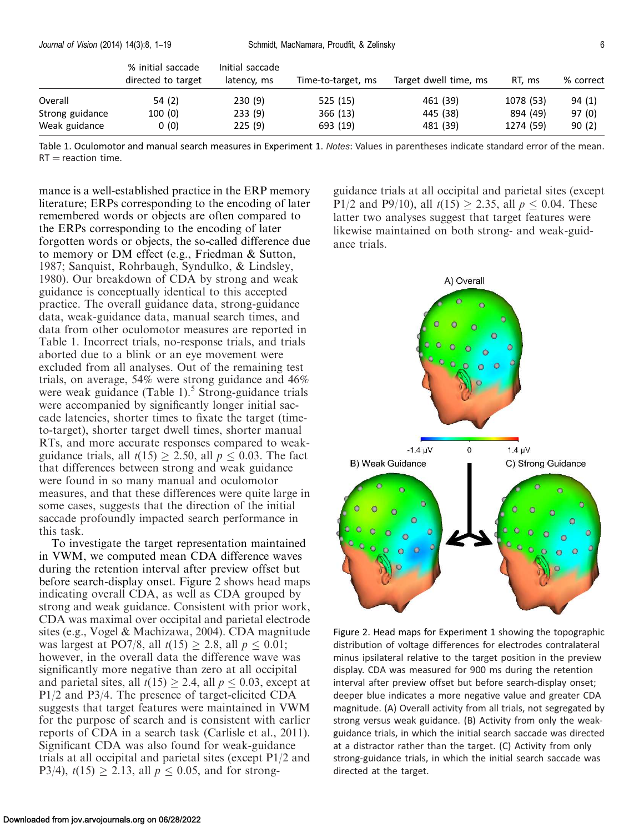<span id="page-5-0"></span>

|                 | % initial saccade<br>directed to target | Initial saccade<br>latency, ms | Time-to-target, ms | Target dwell time, ms | RT. ms    | % correct |
|-----------------|-----------------------------------------|--------------------------------|--------------------|-----------------------|-----------|-----------|
| Overall         | 54 (2)                                  | 230(9)                         | 525(15)            | 461 (39)              | 1078 (53) | 94(1)     |
| Strong guidance | 100 (0)                                 | 233(9)                         | 366(13)            | 445 (38)              | 894 (49)  | 97(0)     |
| Weak guidance   | 0(0)                                    | 225(9)                         | 693 (19)           | 481 (39)              | 1274 (59) | 90(2)     |

Table 1. Oculomotor and manual search measures in Experiment 1. Notes: Values in parentheses indicate standard error of the mean.  $RT =$  reaction time.

mance is a well-established practice in the ERP memory literature; ERPs corresponding to the encoding of later remembered words or objects are often compared to the ERPs corresponding to the encoding of later forgotten words or objects, the so-called difference due to memory or DM effect (e.g., Friedman & Sutton, [1987;](#page-17-0) Sanquist, Rohrbaugh, Syndulko, & Lindsley, [1980\)](#page-17-0). Our breakdown of CDA by strong and weak guidance is conceptually identical to this accepted practice. The overall guidance data, strong-guidance data, weak-guidance data, manual search times, and data from other oculomotor measures are reported in Table 1. Incorrect trials, no-response trials, and trials aborted due to a blink or an eye movement were excluded from all analyses. Out of the remaining test trials, on average, 54% were strong guidance and 46% were weak guidance (Table 1).<sup>[5](#page-16-0)</sup> Strong-guidance trials were accompanied by significantly longer initial saccade latencies, shorter times to fixate the target (timeto-target), shorter target dwell times, shorter manual RTs, and more accurate responses compared to weakguidance trials, all  $t(15) \ge 2.50$ , all  $p \le 0.03$ . The fact that differences between strong and weak guidance were found in so many manual and oculomotor measures, and that these differences were quite large in some cases, suggests that the direction of the initial saccade profoundly impacted search performance in this task.

To investigate the target representation maintained in VWM, we computed mean CDA difference waves during the retention interval after preview offset but before search-display onset. Figure 2 shows head maps indicating overall CDA, as well as CDA grouped by strong and weak guidance. Consistent with prior work, CDA was maximal over occipital and parietal electrode sites (e.g., Vogel & Machizawa, [2004\)](#page-17-0). CDA magnitude was largest at PO7/8, all  $t(15) \ge 2.8$ , all  $p \le 0.01$ ; however, in the overall data the difference wave was significantly more negative than zero at all occipital and parietal sites, all  $t(15) \ge 2.4$ , all  $p \le 0.03$ , except at P1/2 and P3/4. The presence of target-elicited CDA suggests that target features were maintained in VWM for the purpose of search and is consistent with earlier reports of CDA in a search task (Carlisle et al., [2011](#page-16-0)). Significant CDA was also found for weak-guidance trials at all occipital and parietal sites (except P1/2 and P3/4),  $t(15) \ge 2.13$ , all  $p \le 0.05$ , and for strong-

guidance trials at all occipital and parietal sites (except P1/2 and P9/10), all  $t(15) \ge 2.35$ , all  $p \le 0.04$ . These latter two analyses suggest that target features were likewise maintained on both strong- and weak-guidance trials.



Figure 2. Head maps for [Experiment 1](#page-2-0) showing the topographic distribution of voltage differences for electrodes contralateral minus ipsilateral relative to the target position in the preview display. CDA was measured for 900 ms during the retention interval after preview offset but before search-display onset; deeper blue indicates a more negative value and greater CDA magnitude. (A) Overall activity from all trials, not segregated by strong versus weak guidance. (B) Activity from only the weakguidance trials, in which the initial search saccade was directed at a distractor rather than the target. (C) Activity from only strong-guidance trials, in which the initial search saccade was directed at the target.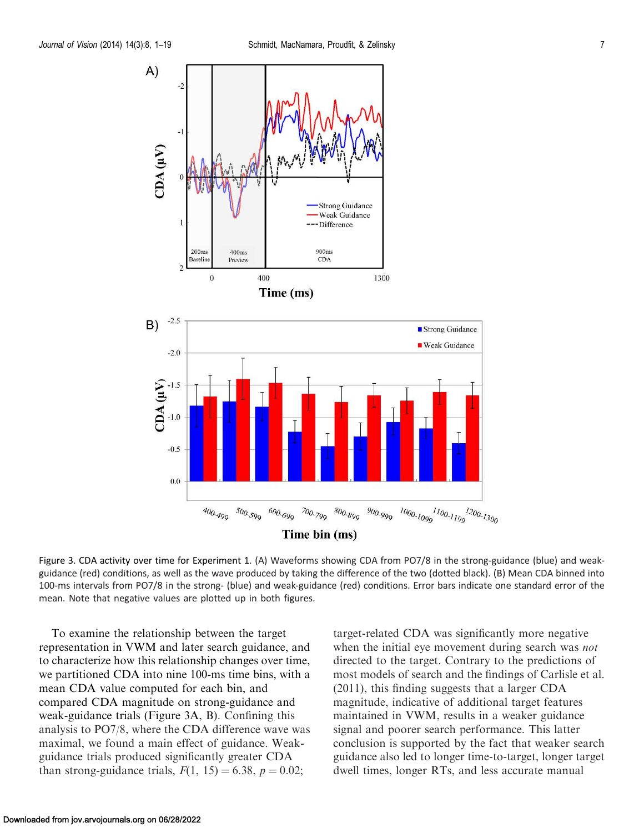<span id="page-6-0"></span>

Figure 3. CDA activity over time for [Experiment 1](#page-2-0). (A) Waveforms showing CDA from PO7/8 in the strong-guidance (blue) and weakguidance (red) conditions, as well as the wave produced by taking the difference of the two (dotted black). (B) Mean CDA binned into 100-ms intervals from PO7/8 in the strong- (blue) and weak-guidance (red) conditions. Error bars indicate one standard error of the mean. Note that negative values are plotted up in both figures.

To examine the relationship between the target representation in VWM and later search guidance, and to characterize how this relationship changes over time, we partitioned CDA into nine 100-ms time bins, with a mean CDA value computed for each bin, and compared CDA magnitude on strong-guidance and weak-guidance trials (Figure 3A, B). Confining this analysis to PO7/8, where the CDA difference wave was maximal, we found a main effect of guidance. Weakguidance trials produced significantly greater CDA than strong-guidance trials,  $F(1, 15) = 6.38$ ,  $p = 0.02$ ;

target-related CDA was significantly more negative when the initial eye movement during search was *not* directed to the target. Contrary to the predictions of most models of search and the findings of [Carlisle et al.](#page-16-0) [\(2011\)](#page-16-0), this finding suggests that a larger CDA magnitude, indicative of additional target features maintained in VWM, results in a weaker guidance signal and poorer search performance. This latter conclusion is supported by the fact that weaker search guidance also led to longer time-to-target, longer target dwell times, longer RTs, and less accurate manual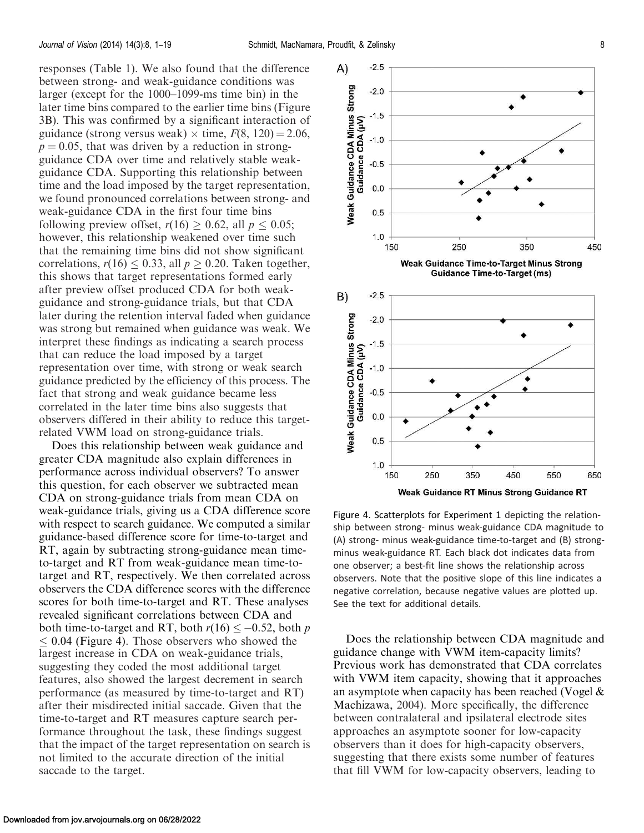responses ([Table 1\)](#page-5-0). We also found that the difference between strong- and weak-guidance conditions was larger (except for the 1000–1099-ms time bin) in the later time bins compared to the earlier time bins [\(Figure](#page-6-0) [3B\)](#page-6-0). This was confirmed by a significant interaction of guidance (strong versus weak)  $\times$  time,  $F(8, 120) = 2.06$ ,  $p = 0.05$ , that was driven by a reduction in strongguidance CDA over time and relatively stable weakguidance CDA. Supporting this relationship between time and the load imposed by the target representation, we found pronounced correlations between strong- and weak-guidance CDA in the first four time bins following preview offset,  $r(16) \ge 0.62$ , all  $p \le 0.05$ ; however, this relationship weakened over time such that the remaining time bins did not show significant correlations,  $r(16) \le 0.33$ , all  $p \ge 0.20$ . Taken together, this shows that target representations formed early after preview offset produced CDA for both weakguidance and strong-guidance trials, but that CDA later during the retention interval faded when guidance was strong but remained when guidance was weak. We interpret these findings as indicating a search process that can reduce the load imposed by a target representation over time, with strong or weak search guidance predicted by the efficiency of this process. The fact that strong and weak guidance became less correlated in the later time bins also suggests that observers differed in their ability to reduce this targetrelated VWM load on strong-guidance trials.

Does this relationship between weak guidance and greater CDA magnitude also explain differences in performance across individual observers? To answer this question, for each observer we subtracted mean CDA on strong-guidance trials from mean CDA on weak-guidance trials, giving us a CDA difference score with respect to search guidance. We computed a similar guidance-based difference score for time-to-target and RT, again by subtracting strong-guidance mean timeto-target and RT from weak-guidance mean time-totarget and RT, respectively. We then correlated across observers the CDA difference scores with the difference scores for both time-to-target and RT. These analyses revealed significant correlations between CDA and both time-to-target and RT, both  $r(16) \le -0.52$ , both p  $\leq 0.04$  (Figure 4). Those observers who showed the largest increase in CDA on weak-guidance trials, suggesting they coded the most additional target features, also showed the largest decrement in search performance (as measured by time-to-target and RT) after their misdirected initial saccade. Given that the time-to-target and RT measures capture search performance throughout the task, these findings suggest that the impact of the target representation on search is not limited to the accurate direction of the initial saccade to the target.



Figure 4. Scatterplots for [Experiment 1](#page-2-0) depicting the relationship between strong- minus weak-guidance CDA magnitude to (A) strong- minus weak-guidance time-to-target and (B) strongminus weak-guidance RT. Each black dot indicates data from one observer; a best-fit line shows the relationship across observers. Note that the positive slope of this line indicates a negative correlation, because negative values are plotted up. See the text for additional details.

Does the relationship between CDA magnitude and guidance change with VWM item-capacity limits? Previous work has demonstrated that CDA correlates with VWM item capacity, showing that it approaches an asymptote when capacity has been reached (Vogel & Machizawa, [2004](#page-17-0)). More specifically, the difference between contralateral and ipsilateral electrode sites approaches an asymptote sooner for low-capacity observers than it does for high-capacity observers, suggesting that there exists some number of features that fill VWM for low-capacity observers, leading to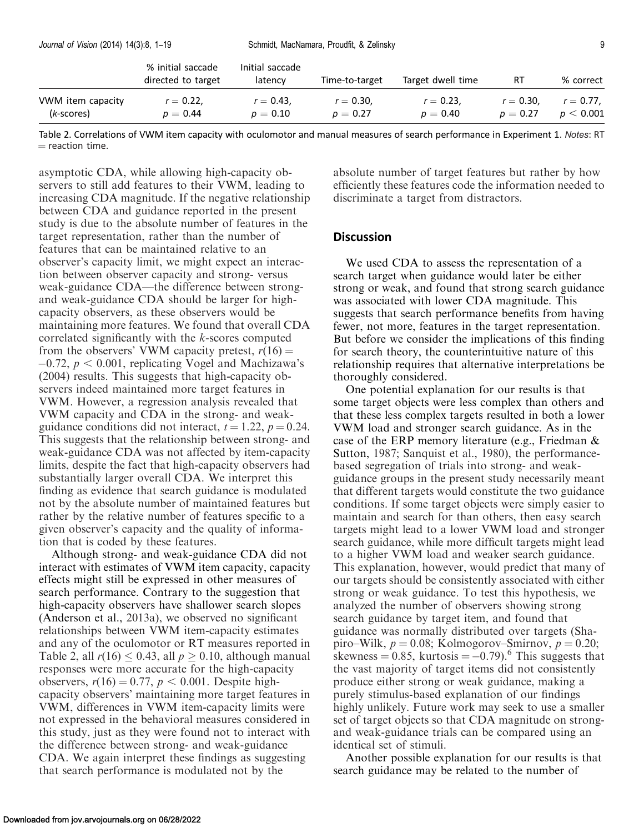|                   | % initial saccade<br>directed to target | Initial saccade<br>latency | Time-to-target | Target dwell time | RT           | % correct    |
|-------------------|-----------------------------------------|----------------------------|----------------|-------------------|--------------|--------------|
| VWM item capacity | $r = 0.22$ .                            | $r = 0.43$ .               | $r = 0.30$ .   | $r = 0.23$ .      | $r = 0.30$ . | $r = 0.77$ . |
| $(k$ -scores)     | $p = 0.44$                              | $p = 0.10$                 | $p = 0.27$     | $p = 0.40$        | $p = 0.27$   | p < 0.001    |

Table 2. Correlations of VWM item capacity with oculomotor and manual measures of search performance in Experiment 1. Notes: RT  $=$  reaction time.

asymptotic CDA, while allowing high-capacity observers to still add features to their VWM, leading to increasing CDA magnitude. If the negative relationship between CDA and guidance reported in the present study is due to the absolute number of features in the target representation, rather than the number of features that can be maintained relative to an observer's capacity limit, we might expect an interaction between observer capacity and strong- versus weak-guidance CDA—the difference between strongand weak-guidance CDA should be larger for highcapacity observers, as these observers would be maintaining more features. We found that overall CDA correlated significantly with the k-scores computed from the observers' VWM capacity pretest,  $r(16) =$  $-0.72$ ,  $p < 0.001$ , replicating [Vogel and Machizawa's](#page-17-0) [\(2004\)](#page-17-0) results. This suggests that high-capacity observers indeed maintained more target features in VWM. However, a regression analysis revealed that VWM capacity and CDA in the strong- and weakguidance conditions did not interact,  $t = 1.22$ ,  $p = 0.24$ . This suggests that the relationship between strong- and weak-guidance CDA was not affected by item-capacity limits, despite the fact that high-capacity observers had substantially larger overall CDA. We interpret this finding as evidence that search guidance is modulated not by the absolute number of maintained features but rather by the relative number of features specific to a given observer's capacity and the quality of information that is coded by these features.

Although strong- and weak-guidance CDA did not interact with estimates of VWM item capacity, capacity effects might still be expressed in other measures of search performance. Contrary to the suggestion that high-capacity observers have shallower search slopes (Anderson et al., [2013a\)](#page-16-0), we observed no significant relationships between VWM item-capacity estimates and any of the oculomotor or RT measures reported in Table 2, all  $r(16) \le 0.43$ , all  $p \ge 0.10$ , although manual responses were more accurate for the high-capacity observers,  $r(16) = 0.77$ ,  $p < 0.001$ . Despite highcapacity observers' maintaining more target features in VWM, differences in VWM item-capacity limits were not expressed in the behavioral measures considered in this study, just as they were found not to interact with the difference between strong- and weak-guidance CDA. We again interpret these findings as suggesting that search performance is modulated not by the

absolute number of target features but rather by how efficiently these features code the information needed to discriminate a target from distractors.

## **Discussion**

We used CDA to assess the representation of a search target when guidance would later be either strong or weak, and found that strong search guidance was associated with lower CDA magnitude. This suggests that search performance benefits from having fewer, not more, features in the target representation. But before we consider the implications of this finding for search theory, the counterintuitive nature of this relationship requires that alternative interpretations be thoroughly considered.

One potential explanation for our results is that some target objects were less complex than others and that these less complex targets resulted in both a lower VWM load and stronger search guidance. As in the case of the ERP memory literature (e.g., Friedman & Sutton, [1987;](#page-17-0) Sanquist et al., [1980\)](#page-17-0), the performancebased segregation of trials into strong- and weakguidance groups in the present study necessarily meant that different targets would constitute the two guidance conditions. If some target objects were simply easier to maintain and search for than others, then easy search targets might lead to a lower VWM load and stronger search guidance, while more difficult targets might lead to a higher VWM load and weaker search guidance. This explanation, however, would predict that many of our targets should be consistently associated with either strong or weak guidance. To test this hypothesis, we analyzed the number of observers showing strong search guidance by target item, and found that guidance was normally distributed over targets (Shapiro–Wilk,  $p = 0.08$ ; Kolmogorov–Smirnov,  $p = 0.20$ ; skewness =  $0.85$ , kurtosis =  $-0.79$ ).<sup>[6](#page-16-0)</sup> This suggests that the vast majority of target items did not consistently produce either strong or weak guidance, making a purely stimulus-based explanation of our findings highly unlikely. Future work may seek to use a smaller set of target objects so that CDA magnitude on strongand weak-guidance trials can be compared using an identical set of stimuli.

Another possible explanation for our results is that search guidance may be related to the number of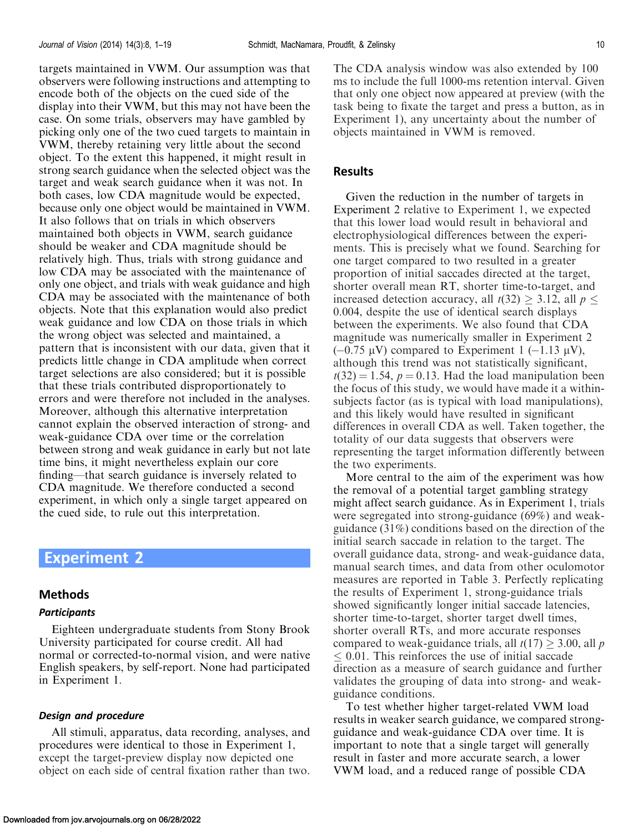<span id="page-9-0"></span>targets maintained in VWM. Our assumption was that observers were following instructions and attempting to encode both of the objects on the cued side of the display into their VWM, but this may not have been the case. On some trials, observers may have gambled by picking only one of the two cued targets to maintain in VWM, thereby retaining very little about the second object. To the extent this happened, it might result in strong search guidance when the selected object was the target and weak search guidance when it was not. In both cases, low CDA magnitude would be expected, because only one object would be maintained in VWM. It also follows that on trials in which observers maintained both objects in VWM, search guidance should be weaker and CDA magnitude should be relatively high. Thus, trials with strong guidance and low CDA may be associated with the maintenance of only one object, and trials with weak guidance and high CDA may be associated with the maintenance of both objects. Note that this explanation would also predict weak guidance and low CDA on those trials in which the wrong object was selected and maintained, a pattern that is inconsistent with our data, given that it predicts little change in CDA amplitude when correct target selections are also considered; but it is possible that these trials contributed disproportionately to errors and were therefore not included in the analyses. Moreover, although this alternative interpretation cannot explain the observed interaction of strong- and weak-guidance CDA over time or the correlation between strong and weak guidance in early but not late time bins, it might nevertheless explain our core finding—that search guidance is inversely related to CDA magnitude. We therefore conducted a second experiment, in which only a single target appeared on the cued side, to rule out this interpretation.

# Experiment 2

## Methods

## **Participants**

Eighteen undergraduate students from Stony Brook University participated for course credit. All had normal or corrected-to-normal vision, and were native English speakers, by self-report. None had participated in [Experiment 1](#page-2-0).

#### Design and procedure

All stimuli, apparatus, data recording, analyses, and procedures were identical to those in [Experiment 1](#page-2-0), except the target-preview display now depicted one object on each side of central fixation rather than two. The CDA analysis window was also extended by 100 ms to include the full 1000-ms retention interval. Given that only one object now appeared at preview (with the task being to fixate the target and press a button, as in [Experiment 1](#page-2-0)), any uncertainty about the number of objects maintained in VWM is removed.

## Results

Given the reduction in the number of targets in Experiment 2 relative to [Experiment 1,](#page-2-0) we expected that this lower load would result in behavioral and electrophysiological differences between the experiments. This is precisely what we found. Searching for one target compared to two resulted in a greater proportion of initial saccades directed at the target, shorter overall mean RT, shorter time-to-target, and increased detection accuracy, all  $t(32) \geq 3.12$ , all  $p \leq$ 0.004, despite the use of identical search displays between the experiments. We also found that CDA magnitude was numerically smaller in Experiment 2  $(-0.75 \mu V)$  compared to [Experiment 1](#page-2-0)  $(-1.13 \mu V)$ , although this trend was not statistically significant,  $t(32) = 1.54$ ,  $p = 0.13$ . Had the load manipulation been the focus of this study, we would have made it a withinsubjects factor (as is typical with load manipulations), and this likely would have resulted in significant differences in overall CDA as well. Taken together, the totality of our data suggests that observers were representing the target information differently between the two experiments.

More central to the aim of the experiment was how the removal of a potential target gambling strategy might affect search guidance. As in [Experiment 1,](#page-2-0) trials were segregated into strong-guidance (69%) and weakguidance (31%) conditions based on the direction of the initial search saccade in relation to the target. The overall guidance data, strong- and weak-guidance data, manual search times, and data from other oculomotor measures are reported in [Table 3](#page-10-0). Perfectly replicating the results of [Experiment 1,](#page-2-0) strong-guidance trials showed significantly longer initial saccade latencies, shorter time-to-target, shorter target dwell times, shorter overall RTs, and more accurate responses compared to weak-guidance trials, all  $t(17) > 3.00$ , all p  $\leq$  0.01. This reinforces the use of initial saccade direction as a measure of search guidance and further validates the grouping of data into strong- and weakguidance conditions.

To test whether higher target-related VWM load results in weaker search guidance, we compared strongguidance and weak-guidance CDA over time. It is important to note that a single target will generally result in faster and more accurate search, a lower VWM load, and a reduced range of possible CDA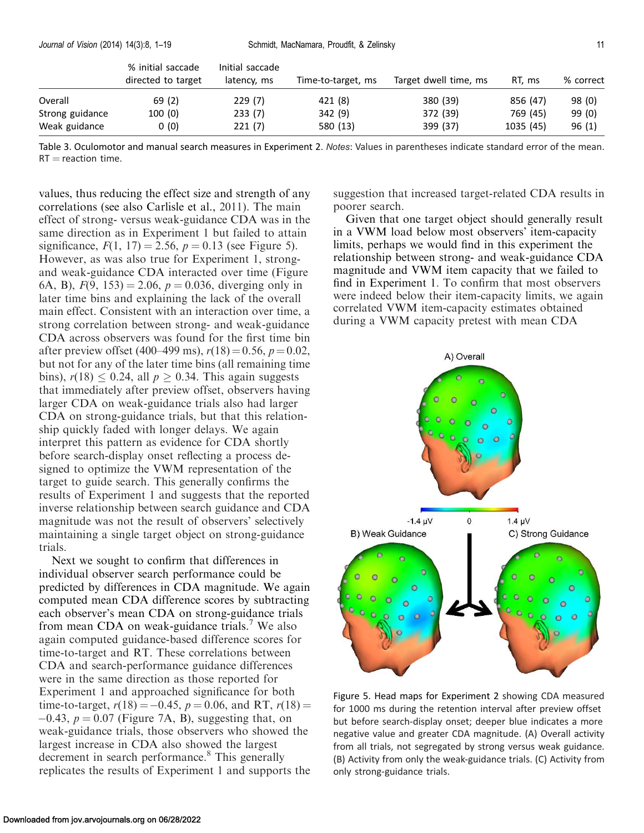<span id="page-10-0"></span>

|                 | % initial saccade<br>directed to target | Initial saccade<br>latency, ms | Time-to-target, ms | Target dwell time, ms | RT. ms    | % correct |
|-----------------|-----------------------------------------|--------------------------------|--------------------|-----------------------|-----------|-----------|
| Overall         | 69(2)                                   | 229(7)                         | 421 (8)            | 380 (39)              | 856 (47)  | 98(0)     |
| Strong guidance | 100 (0)                                 | 233(7)                         | 342(9)             | 372 (39)              | 769 (45)  | 99(0)     |
| Weak guidance   | 0(0)                                    | 221(7)                         | 580 (13)           | 399 (37)              | 1035 (45) | 96(1)     |

Table 3. Oculomotor and manual search measures in Experiment 2. Notes: Values in parentheses indicate standard error of the mean.  $RT =$  reaction time.

values, thus reducing the effect size and strength of any correlations (see also Carlisle et al., [2011\)](#page-16-0). The main effect of strong- versus weak-guidance CDA was in the same direction as in [Experiment 1](#page-2-0) but failed to attain significance,  $F(1, 17) = 2.56$ ,  $p = 0.13$  (see Figure 5). However, as was also true for [Experiment 1](#page-2-0), strongand weak-guidance CDA interacted over time [\(Figure](#page-11-0) [6A, B\)](#page-11-0),  $F(9, 153) = 2.06$ ,  $p = 0.036$ , diverging only in later time bins and explaining the lack of the overall main effect. Consistent with an interaction over time, a strong correlation between strong- and weak-guidance CDA across observers was found for the first time bin after preview offset (400–499 ms),  $r(18) = 0.56$ ,  $p = 0.02$ , but not for any of the later time bins (all remaining time bins),  $r(18)$  < 0.24, all  $p > 0.34$ . This again suggests that immediately after preview offset, observers having larger CDA on weak-guidance trials also had larger CDA on strong-guidance trials, but that this relationship quickly faded with longer delays. We again interpret this pattern as evidence for CDA shortly before search-display onset reflecting a process designed to optimize the VWM representation of the target to guide search. This generally confirms the results of [Experiment 1](#page-2-0) and suggests that the reported inverse relationship between search guidance and CDA magnitude was not the result of observers' selectively maintaining a single target object on strong-guidance trials.

Next we sought to confirm that differences in individual observer search performance could be predicted by differences in CDA magnitude. We again computed mean CDA difference scores by subtracting each observer's mean CDA on strong-guidance trials from mean CDA on weak-guidance trials.<sup>[7](#page-16-0)</sup> We also again computed guidance-based difference scores for time-to-target and RT. These correlations between CDA and search-performance guidance differences were in the same direction as those reported for [Experiment 1](#page-2-0) and approached significance for both time-to-target,  $r(18) = -0.45$ ,  $p = 0.06$ , and RT,  $r(18) =$  $-0.43$ ,  $p = 0.07$  ([Figure 7A](#page-12-0), [B](#page-12-0)), suggesting that, on weak-guidance trials, those observers who showed the largest increase in CDA also showed the largest decrement in search performance.<sup>[8](#page-16-0)</sup> This generally replicates the results of [Experiment 1](#page-2-0) and supports the suggestion that increased target-related CDA results in poorer search.

Given that one target object should generally result in a VWM load below most observers' item-capacity limits, perhaps we would find in this experiment the relationship between strong- and weak-guidance CDA magnitude and VWM item capacity that we failed to find in [Experiment 1.](#page-2-0) To confirm that most observers were indeed below their item-capacity limits, we again correlated VWM item-capacity estimates obtained during a VWM capacity pretest with mean CDA



Figure 5. Head maps for [Experiment 2](#page-9-0) showing CDA measured for 1000 ms during the retention interval after preview offset but before search-display onset; deeper blue indicates a more negative value and greater CDA magnitude. (A) Overall activity from all trials, not segregated by strong versus weak guidance. (B) Activity from only the weak-guidance trials. (C) Activity from only strong-guidance trials.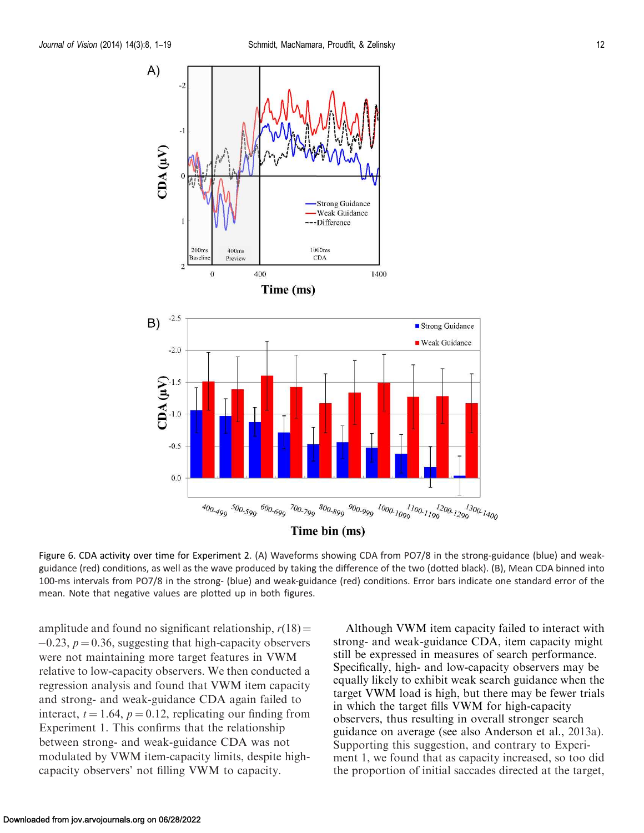<span id="page-11-0"></span>

Time bin (ms)

Figure 6. CDA activity over time for [Experiment 2](#page-9-0). (A) Waveforms showing CDA from PO7/8 in the strong-guidance (blue) and weakguidance (red) conditions, as well as the wave produced by taking the difference of the two (dotted black). (B), Mean CDA binned into 100-ms intervals from PO7/8 in the strong- (blue) and weak-guidance (red) conditions. Error bars indicate one standard error of the mean. Note that negative values are plotted up in both figures.

amplitude and found no significant relationship,  $r(18) =$  $-0.23$ ,  $p = 0.36$ , suggesting that high-capacity observers were not maintaining more target features in VWM relative to low-capacity observers. We then conducted a regression analysis and found that VWM item capacity and strong- and weak-guidance CDA again failed to interact,  $t = 1.64$ ,  $p = 0.12$ , replicating our finding from [Experiment 1](#page-2-0). This confirms that the relationship between strong- and weak-guidance CDA was not modulated by VWM item-capacity limits, despite highcapacity observers' not filling VWM to capacity.

Although VWM item capacity failed to interact with strong- and weak-guidance CDA, item capacity might still be expressed in measures of search performance. Specifically, high- and low-capacity observers may be equally likely to exhibit weak search guidance when the target VWM load is high, but there may be fewer trials in which the target fills VWM for high-capacity observers, thus resulting in overall stronger search guidance on average (see also Anderson et al., [2013a\)](#page-16-0). Supporting this suggestion, and contrary to [Experi](#page-2-0)[ment 1](#page-2-0), we found that as capacity increased, so too did the proportion of initial saccades directed at the target,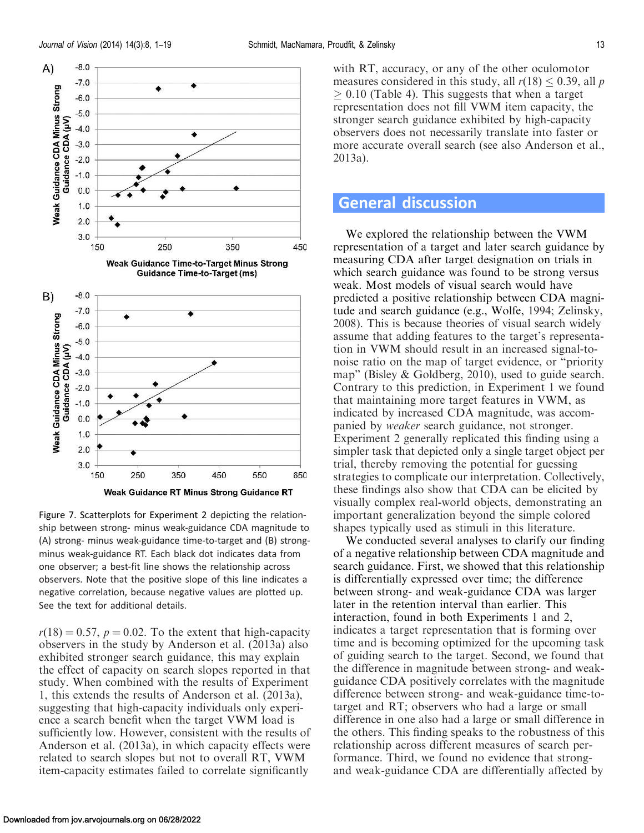<span id="page-12-0"></span>

Figure 7. Scatterplots for [Experiment 2](#page-9-0) depicting the relationship between strong- minus weak-guidance CDA magnitude to (A) strong- minus weak-guidance time-to-target and (B) strongminus weak-guidance RT. Each black dot indicates data from one observer; a best-fit line shows the relationship across observers. Note that the positive slope of this line indicates a negative correlation, because negative values are plotted up. See the text for additional details.

 $r(18) = 0.57$ ,  $p = 0.02$ . To the extent that high-capacity observers in the study by Anderson et al. [\(2013a](#page-16-0)) also exhibited stronger search guidance, this may explain the effect of capacity on search slopes reported in that study. When combined with the results of [Experiment](#page-2-0) [1](#page-2-0), this extends the results of Anderson et al. ([2013a](#page-16-0)), suggesting that high-capacity individuals only experience a search benefit when the target VWM load is sufficiently low. However, consistent with the results of Anderson et al. ([2013a](#page-16-0)), in which capacity effects were related to search slopes but not to overall RT, VWM item-capacity estimates failed to correlate significantly

with RT, accuracy, or any of the other oculomotor measures considered in this study, all  $r(18) \le 0.39$ , all p  $0.10$  ([Table 4](#page-13-0)). This suggests that when a target representation does not fill VWM item capacity, the stronger search guidance exhibited by high-capacity observers does not necessarily translate into faster or more accurate overall search (see also Anderson et al., [2013a](#page-16-0)).

# General discussion

We explored the relationship between the VWM representation of a target and later search guidance by measuring CDA after target designation on trials in which search guidance was found to be strong versus weak. Most models of visual search would have predicted a positive relationship between CDA magnitude and search guidance (e.g., Wolfe, [1994](#page-17-0); Zelinsky, [2008\)](#page-18-0). This is because theories of visual search widely assume that adding features to the target's representation in VWM should result in an increased signal-tonoise ratio on the map of target evidence, or ''priority map'' (Bisley & Goldberg, [2010\)](#page-16-0), used to guide search. Contrary to this prediction, in [Experiment 1](#page-2-0) we found that maintaining more target features in VWM, as indicated by increased CDA magnitude, was accompanied by weaker search guidance, not stronger. [Experiment 2](#page-9-0) generally replicated this finding using a simpler task that depicted only a single target object per trial, thereby removing the potential for guessing strategies to complicate our interpretation. Collectively, these findings also show that CDA can be elicited by visually complex real-world objects, demonstrating an important generalization beyond the simple colored shapes typically used as stimuli in this literature.

We conducted several analyses to clarify our finding of a negative relationship between CDA magnitude and search guidance. First, we showed that this relationship is differentially expressed over time; the difference between strong- and weak-guidance CDA was larger later in the retention interval than earlier. This interaction, found in both [Experiments 1](#page-2-0) and [2,](#page-9-0) indicates a target representation that is forming over time and is becoming optimized for the upcoming task of guiding search to the target. Second, we found that the difference in magnitude between strong- and weakguidance CDA positively correlates with the magnitude difference between strong- and weak-guidance time-totarget and RT; observers who had a large or small difference in one also had a large or small difference in the others. This finding speaks to the robustness of this relationship across different measures of search performance. Third, we found no evidence that strongand weak-guidance CDA are differentially affected by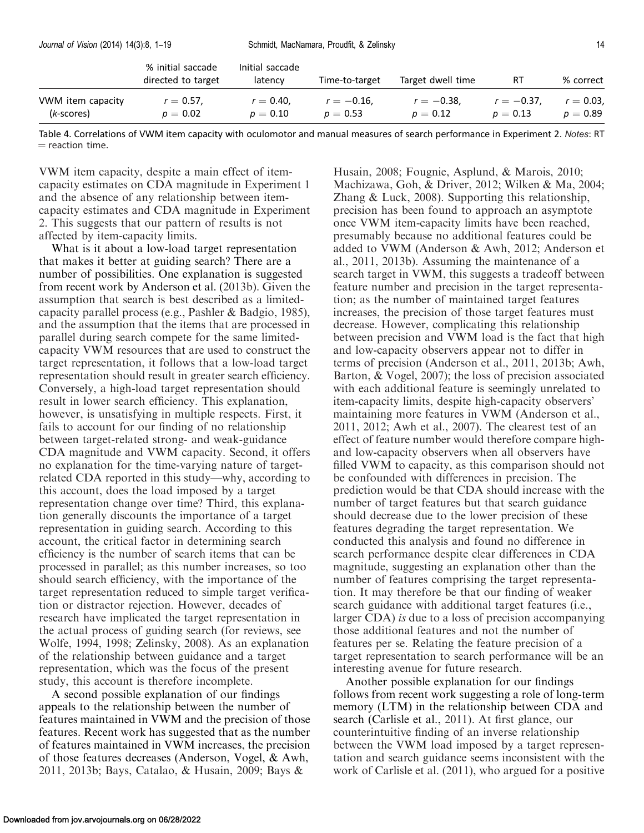<span id="page-13-0"></span>

| directed to target<br>latency | Time-to-target | Target dwell time                        | RT                          | % correct                  |
|-------------------------------|----------------|------------------------------------------|-----------------------------|----------------------------|
| $r = 0.57$ .                  |                | $r = -0.38$ .                            | $r = -0.37$ .               | $r = 0.03$ .<br>$p = 0.89$ |
|                               | $p = 0.02$     | $r = 0.40$ .<br>$p = 0.10$<br>$p = 0.53$ | $r = -0.16$ .<br>$p = 0.12$ | $p = 0.13$                 |

Table 4. Correlations of VWM item capacity with oculomotor and manual measures of search performance in Experiment 2. Notes: RT  $=$  reaction time.

VWM item capacity, despite a main effect of itemcapacity estimates on CDA magnitude in [Experiment 1](#page-2-0) and the absence of any relationship between itemcapacity estimates and CDA magnitude in [Experiment](#page-9-0) [2](#page-9-0). This suggests that our pattern of results is not affected by item-capacity limits.

What is it about a low-load target representation that makes it better at guiding search? There are a number of possibilities. One explanation is suggested from recent work by Anderson et al. [\(2013b](#page-16-0)). Given the assumption that search is best described as a limitedcapacity parallel process (e.g., Pashler & Badgio, [1985](#page-17-0)), and the assumption that the items that are processed in parallel during search compete for the same limitedcapacity VWM resources that are used to construct the target representation, it follows that a low-load target representation should result in greater search efficiency. Conversely, a high-load target representation should result in lower search efficiency. This explanation, however, is unsatisfying in multiple respects. First, it fails to account for our finding of no relationship between target-related strong- and weak-guidance CDA magnitude and VWM capacity. Second, it offers no explanation for the time-varying nature of targetrelated CDA reported in this study—why, according to this account, does the load imposed by a target representation change over time? Third, this explanation generally discounts the importance of a target representation in guiding search. According to this account, the critical factor in determining search efficiency is the number of search items that can be processed in parallel; as this number increases, so too should search efficiency, with the importance of the target representation reduced to simple target verification or distractor rejection. However, decades of research have implicated the target representation in the actual process of guiding search (for reviews, see Wolfe, [1994, 1998](#page-17-0); Zelinsky, [2008](#page-18-0)). As an explanation of the relationship between guidance and a target representation, which was the focus of the present study, this account is therefore incomplete.

A second possible explanation of our findings appeals to the relationship between the number of features maintained in VWM and the precision of those features. Recent work has suggested that as the number of features maintained in VWM increases, the precision of those features decreases (Anderson, Vogel, & Awh, [2011, 2013b](#page-16-0); Bays, Catalao, & Husain, [2009](#page-16-0); Bays &

Husain, [2008](#page-16-0); Fougnie, Asplund, & Marois, [2010;](#page-17-0) Machizawa, Goh, & Driver, [2012;](#page-17-0) Wilken & Ma, [2004](#page-17-0); Zhang & Luck, [2008\)](#page-18-0). Supporting this relationship, precision has been found to approach an asymptote once VWM item-capacity limits have been reached, presumably because no additional features could be added to VWM (Anderson & Awh, [2012;](#page-16-0) Anderson et al., [2011, 2013b](#page-16-0)). Assuming the maintenance of a search target in VWM, this suggests a tradeoff between feature number and precision in the target representation; as the number of maintained target features increases, the precision of those target features must decrease. However, complicating this relationship between precision and VWM load is the fact that high and low-capacity observers appear not to differ in terms of precision (Anderson et al., [2011](#page-16-0), [2013b](#page-16-0); Awh, Barton, & Vogel, [2007](#page-16-0)); the loss of precision associated with each additional feature is seemingly unrelated to item-capacity limits, despite high-capacity observers' maintaining more features in VWM (Anderson et al., [2011, 2012](#page-16-0); Awh et al., [2007\)](#page-16-0). The clearest test of an effect of feature number would therefore compare highand low-capacity observers when all observers have filled VWM to capacity, as this comparison should not be confounded with differences in precision. The prediction would be that CDA should increase with the number of target features but that search guidance should decrease due to the lower precision of these features degrading the target representation. We conducted this analysis and found no difference in search performance despite clear differences in CDA magnitude, suggesting an explanation other than the number of features comprising the target representation. It may therefore be that our finding of weaker search guidance with additional target features (i.e., larger CDA) is due to a loss of precision accompanying those additional features and not the number of features per se. Relating the feature precision of a target representation to search performance will be an interesting avenue for future research.

Another possible explanation for our findings follows from recent work suggesting a role of long-term memory (LTM) in the relationship between CDA and search (Carlisle et al., [2011\)](#page-16-0). At first glance, our counterintuitive finding of an inverse relationship between the VWM load imposed by a target representation and search guidance seems inconsistent with the work of [Carlisle et al. \(2011\),](#page-16-0) who argued for a positive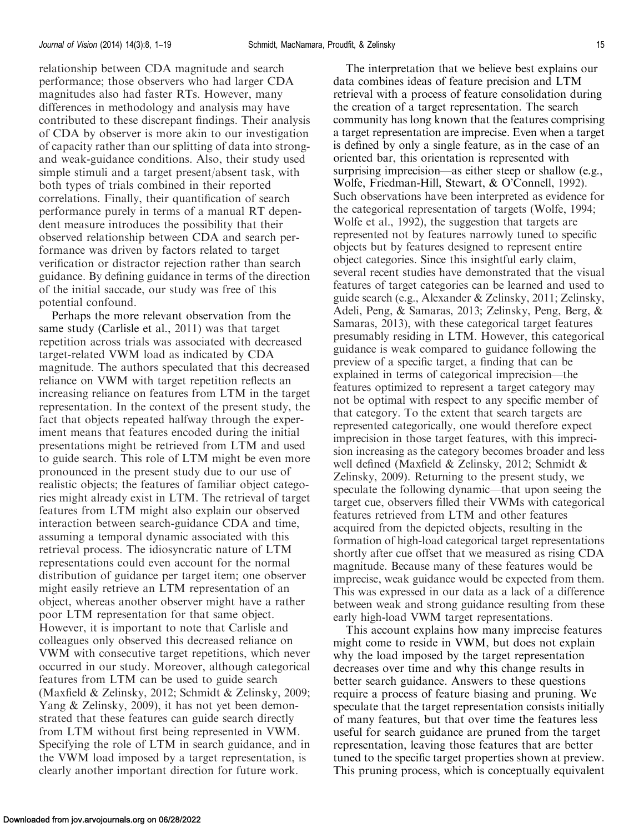relationship between CDA magnitude and search performance; those observers who had larger CDA magnitudes also had faster RTs. However, many differences in methodology and analysis may have contributed to these discrepant findings. Their analysis of CDA by observer is more akin to our investigation of capacity rather than our splitting of data into strongand weak-guidance conditions. Also, their study used simple stimuli and a target present/absent task, with both types of trials combined in their reported correlations. Finally, their quantification of search performance purely in terms of a manual RT dependent measure introduces the possibility that their observed relationship between CDA and search performance was driven by factors related to target verification or distractor rejection rather than search guidance. By defining guidance in terms of the direction of the initial saccade, our study was free of this potential confound.

Perhaps the more relevant observation from the same study (Carlisle et al., [2011](#page-16-0)) was that target repetition across trials was associated with decreased target-related VWM load as indicated by CDA magnitude. The authors speculated that this decreased reliance on VWM with target repetition reflects an increasing reliance on features from LTM in the target representation. In the context of the present study, the fact that objects repeated halfway through the experiment means that features encoded during the initial presentations might be retrieved from LTM and used to guide search. This role of LTM might be even more pronounced in the present study due to our use of realistic objects; the features of familiar object categories might already exist in LTM. The retrieval of target features from LTM might also explain our observed interaction between search-guidance CDA and time, assuming a temporal dynamic associated with this retrieval process. The idiosyncratic nature of LTM representations could even account for the normal distribution of guidance per target item; one observer might easily retrieve an LTM representation of an object, whereas another observer might have a rather poor LTM representation for that same object. However, it is important to note that Carlisle and colleagues only observed this decreased reliance on VWM with consecutive target repetitions, which never occurred in our study. Moreover, although categorical features from LTM can be used to guide search (Maxfield & Zelinsky, [2012;](#page-17-0) Schmidt & Zelinsky, [2009](#page-17-0); Yang & Zelinsky, [2009](#page-18-0)), it has not yet been demonstrated that these features can guide search directly from LTM without first being represented in VWM. Specifying the role of LTM in search guidance, and in the VWM load imposed by a target representation, is clearly another important direction for future work.

The interpretation that we believe best explains our data combines ideas of feature precision and LTM retrieval with a process of feature consolidation during the creation of a target representation. The search community has long known that the features comprising a target representation are imprecise. Even when a target is defined by only a single feature, as in the case of an oriented bar, this orientation is represented with surprising imprecision—as either steep or shallow (e.g., Wolfe, Friedman-Hill, Stewart, & O'Connell, [1992](#page-17-0)). Such observations have been interpreted as evidence for the categorical representation of targets (Wolfe, [1994;](#page-17-0) Wolfe et al., [1992](#page-17-0)), the suggestion that targets are represented not by features narrowly tuned to specific objects but by features designed to represent entire object categories. Since this insightful early claim, several recent studies have demonstrated that the visual features of target categories can be learned and used to guide search (e.g., Alexander & Zelinsky, [2011;](#page-16-0) Zelinsky, Adeli, Peng, & Samaras, [2013](#page-18-0); Zelinsky, Peng, Berg, & Samaras, [2013](#page-18-0)), with these categorical target features presumably residing in LTM. However, this categorical guidance is weak compared to guidance following the preview of a specific target, a finding that can be explained in terms of categorical imprecision—the features optimized to represent a target category may not be optimal with respect to any specific member of that category. To the extent that search targets are represented categorically, one would therefore expect imprecision in those target features, with this imprecision increasing as the category becomes broader and less well defined (Maxfield & Zelinsky, [2012](#page-17-0); Schmidt & Zelinsky, [2009\)](#page-17-0). Returning to the present study, we speculate the following dynamic—that upon seeing the target cue, observers filled their VWMs with categorical features retrieved from LTM and other features acquired from the depicted objects, resulting in the formation of high-load categorical target representations shortly after cue offset that we measured as rising CDA magnitude. Because many of these features would be imprecise, weak guidance would be expected from them. This was expressed in our data as a lack of a difference between weak and strong guidance resulting from these early high-load VWM target representations.

This account explains how many imprecise features might come to reside in VWM, but does not explain why the load imposed by the target representation decreases over time and why this change results in better search guidance. Answers to these questions require a process of feature biasing and pruning. We speculate that the target representation consists initially of many features, but that over time the features less useful for search guidance are pruned from the target representation, leaving those features that are better tuned to the specific target properties shown at preview. This pruning process, which is conceptually equivalent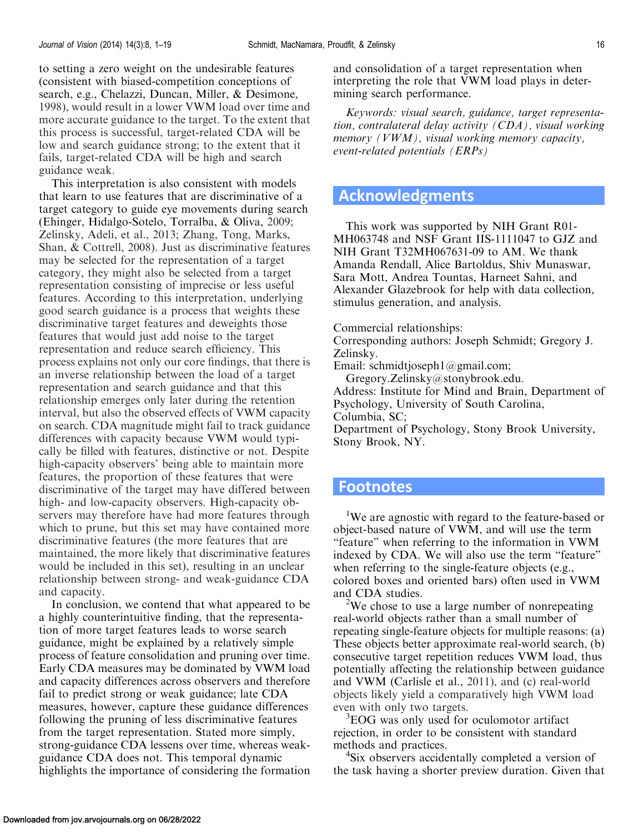<span id="page-15-0"></span>to setting a zero weight on the undesirable features (consistent with biased-competition conceptions of search, e.g., Chelazzi, Duncan, Miller, & Desimone, [1998\)](#page-16-0), would result in a lower VWM load over time and more accurate guidance to the target. To the extent that this process is successful, target-related CDA will be low and search guidance strong; to the extent that it fails, target-related CDA will be high and search guidance weak.

This interpretation is also consistent with models that learn to use features that are discriminative of a target category to guide eye movements during search (Ehinger, Hidalgo-Sotelo, Torralba, & Oliva, [2009](#page-17-0); Zelinsky, Adeli, et al., [2013](#page-18-0); Zhang, Tong, Marks, Shan, & Cottrell, [2008\)](#page-18-0). Just as discriminative features may be selected for the representation of a target category, they might also be selected from a target representation consisting of imprecise or less useful features. According to this interpretation, underlying good search guidance is a process that weights these discriminative target features and deweights those features that would just add noise to the target representation and reduce search efficiency. This process explains not only our core findings, that there is an inverse relationship between the load of a target representation and search guidance and that this relationship emerges only later during the retention interval, but also the observed effects of VWM capacity on search. CDA magnitude might fail to track guidance differences with capacity because VWM would typically be filled with features, distinctive or not. Despite high-capacity observers' being able to maintain more features, the proportion of these features that were discriminative of the target may have differed between high- and low-capacity observers. High-capacity observers may therefore have had more features through which to prune, but this set may have contained more discriminative features (the more features that are maintained, the more likely that discriminative features would be included in this set), resulting in an unclear relationship between strong- and weak-guidance CDA and capacity.

In conclusion, we contend that what appeared to be a highly counterintuitive finding, that the representation of more target features leads to worse search guidance, might be explained by a relatively simple process of feature consolidation and pruning over time. Early CDA measures may be dominated by VWM load and capacity differences across observers and therefore fail to predict strong or weak guidance; late CDA measures, however, capture these guidance differences following the pruning of less discriminative features from the target representation. Stated more simply, strong-guidance CDA lessens over time, whereas weakguidance CDA does not. This temporal dynamic highlights the importance of considering the formation and consolidation of a target representation when interpreting the role that VWM load plays in determining search performance.

Keywords: visual search, guidance, target representation, contralateral delay activity (CDA), visual working memory (VWM), visual working memory capacity, event-related potentials (ERPs)

# Acknowledgments

This work was supported by NIH Grant R01- MH063748 and NSF Grant IIS-1111047 to GJZ and NIH Grant T32MH067631-09 to AM. We thank Amanda Rendall, Alice Bartoldus, Shiv Munaswar, Sara Mott, Andrea Tountas, Harneet Sahni, and Alexander Glazebrook for help with data collection, stimulus generation, and analysis.

Commercial relationships:

Corresponding authors: Joseph Schmidt; Gregory J. Zelinsky.

Email: schmidtjoseph1@gmail.com;

Gregory.Zelinsky@stonybrook.edu.

Address: Institute for Mind and Brain, Department of Psychology, University of South Carolina,

Columbia, SC;

Department of Psychology, Stony Brook University, Stony Brook, NY.

# Footnotes

<sup>1</sup>We are agnostic with regard to the feature-based or object-based nature of VWM, and will use the term ''feature'' when referring to the information in VWM indexed by CDA. We will also use the term ''feature'' when referring to the single-feature objects (e.g., colored boxes and oriented bars) often used in VWM and CDA studies.

<sup>2</sup>We chose to use a large number of nonrepeating real-world objects rather than a small number of repeating single-feature objects for multiple reasons: (a) These objects better approximate real-world search, (b) consecutive target repetition reduces VWM load, thus potentially affecting the relationship between guidance and VWM (Carlisle et al., 2011), and (c) real-world objects likely yield a comparatively high VWM load even with only two targets.

<sup>3</sup>EOG was only used for oculomotor artifact rejection, in order to be consistent with standard methods and practices. <sup>4</sup>

<sup>4</sup>Six observers accidentally completed a version of the task having a shorter preview duration. Given that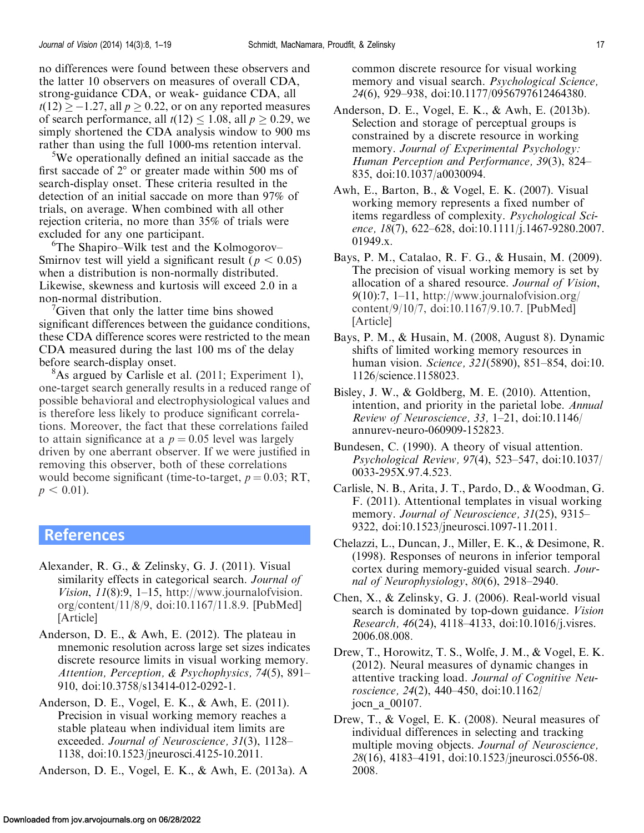<span id="page-16-0"></span>no differences were found between these observers and the latter 10 observers on measures of overall CDA, strong-guidance CDA, or weak- guidance CDA, all  $t(12) \ge -1.27$ , all  $p \ge 0.22$ , or on any reported measures of search performance, all  $t(12) \le 1.08$ , all  $p \ge 0.29$ , we simply shortened the CDA analysis window to 900 ms rather than using the full 1000-ms retention interval.

<sup>5</sup>We operationally defined an initial saccade as the first saccade of  $2^{\circ}$  or greater made within 500 ms of search-display onset. These criteria resulted in the detection of an initial saccade on more than 97% of trials, on average. When combined with all other rejection criteria, no more than 35% of trials were excluded for any one participant.

6 The Shapiro–Wilk test and the Kolmogorov– Smirnov test will yield a significant result ( $p < 0.05$ ) when a distribution is non-normally distributed. Likewise, skewness and kurtosis will exceed 2.0 in a non-normal distribution.

 $7$ Given that only the latter time bins showed significant differences between the guidance conditions, these CDA difference scores were restricted to the mean CDA measured during the last 100 ms of the delay before search-display onset.

<sup>8</sup>As argued by Carlisle et al. (2011; Experiment 1), one-target search generally results in a reduced range of possible behavioral and electrophysiological values and is therefore less likely to produce significant correlations. Moreover, the fact that these correlations failed to attain significance at a  $p = 0.05$  level was largely driven by one aberrant observer. If we were justified in removing this observer, both of these correlations would become significant (time-to-target,  $p = 0.03$ ; RT,  $p < 0.01$ ).

# References

- Alexander, R. G., & Zelinsky, G. J. (2011). Visual similarity effects in categorical search. Journal of Vision,  $11(8)$ :9, 1–15, [http://www.journalofvision.](http://www.journalofvision.org/content/11/8/9) [org/content/11/8/9](http://www.journalofvision.org/content/11/8/9), doi:10.1167/11.8.9. [[PubMed](http://www.ncbi.nlm.nih.gov/pubmed/21757505)] [[Article\]](http://www.journalofvision.org/content/11/8/9.long)
- Anderson, D. E., & Awh, E. (2012). The plateau in mnemonic resolution across large set sizes indicates discrete resource limits in visual working memory. Attention, Perception, & Psychophysics, 74(5), 891– 910, doi:10.3758/s13414-012-0292-1.
- Anderson, D. E., Vogel, E. K., & Awh, E. (2011). Precision in visual working memory reaches a stable plateau when individual item limits are exceeded. Journal of Neuroscience, 31(3), 1128– 1138, doi:10.1523/jneurosci.4125-10.2011.

Anderson, D. E., Vogel, E. K., & Awh, E. (2013a). A

common discrete resource for visual working memory and visual search. Psychological Science, 24(6), 929–938, doi:10.1177/0956797612464380.

- Anderson, D. E., Vogel, E. K., & Awh, E. (2013b). Selection and storage of perceptual groups is constrained by a discrete resource in working memory. Journal of Experimental Psychology: Human Perception and Performance, 39(3), 824– 835, doi:10.1037/a0030094.
- Awh, E., Barton, B., & Vogel, E. K. (2007). Visual working memory represents a fixed number of items regardless of complexity. Psychological Science, 18(7), 622–628, doi:10.1111/j.1467-9280.2007. 01949.x.
- Bays, P. M., Catalao, R. F. G., & Husain, M. (2009). The precision of visual working memory is set by allocation of a shared resource. Journal of Vision,  $9(10):7$ , 1–11, [http://www.journalofvision.org/](http://www.journalofvision.org/content/9/10/7) [content/9/10/7,](http://www.journalofvision.org/content/9/10/7) doi:10.1167/9.10.7. [\[PubMed\]](http://www.ncbi.nlm.nih.gov/pubmed/19810788) [[Article\]](http://www.journalofvision.org/content/9/10/7.long)
- Bays, P. M., & Husain, M. (2008, August 8). Dynamic shifts of limited working memory resources in human vision. Science, 321(5890), 851–854, doi:10. 1126/science.1158023.
- Bisley, J. W., & Goldberg, M. E. (2010). Attention, intention, and priority in the parietal lobe. Annual Review of Neuroscience, 33, 1–21, doi:10.1146/ annurev-neuro-060909-152823.
- Bundesen, C. (1990). A theory of visual attention. Psychological Review, 97(4), 523–547, doi:10.1037/ 0033-295X.97.4.523.
- Carlisle, N. B., Arita, J. T., Pardo, D., & Woodman, G. F. (2011). Attentional templates in visual working memory. Journal of Neuroscience, 31(25), 9315– 9322, doi:10.1523/jneurosci.1097-11.2011.
- Chelazzi, L., Duncan, J., Miller, E. K., & Desimone, R. (1998). Responses of neurons in inferior temporal cortex during memory-guided visual search. Journal of Neurophysiology, 80(6), 2918–2940.
- Chen, X., & Zelinsky, G. J. (2006). Real-world visual search is dominated by top-down guidance. Vision Research, 46(24), 4118–4133, doi:10.1016/j.visres. 2006.08.008.
- Drew, T., Horowitz, T. S., Wolfe, J. M., & Vogel, E. K. (2012). Neural measures of dynamic changes in attentive tracking load. Journal of Cognitive Neuroscience, 24(2), 440–450, doi:10.1162/ jocn\_a\_00107.
- Drew, T., & Vogel, E. K. (2008). Neural measures of individual differences in selecting and tracking multiple moving objects. Journal of Neuroscience, 28(16), 4183–4191, doi:10.1523/jneurosci.0556-08. 2008.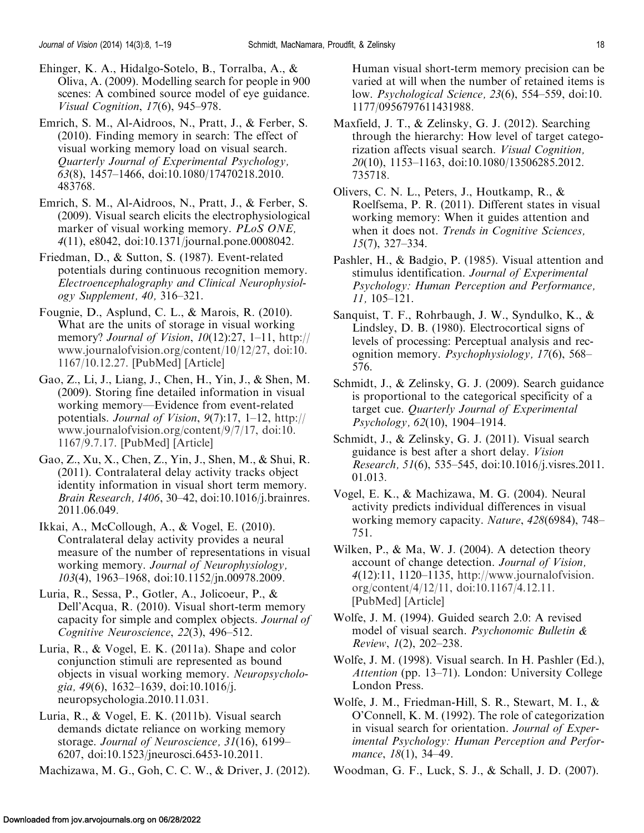- <span id="page-17-0"></span>Ehinger, K. A., Hidalgo-Sotelo, B., Torralba, A., & Oliva, A. (2009). Modelling search for people in 900 scenes: A combined source model of eye guidance. Visual Cognition, 17(6), 945–978.
- Emrich, S. M., Al-Aidroos, N., Pratt, J., & Ferber, S. (2010). Finding memory in search: The effect of visual working memory load on visual search. Quarterly Journal of Experimental Psychology, 63(8), 1457–1466, doi:10.1080/17470218.2010. 483768.
- Emrich, S. M., Al-Aidroos, N., Pratt, J., & Ferber, S. (2009). Visual search elicits the electrophysiological marker of visual working memory. PLoS ONE, 4(11), e8042, doi:10.1371/journal.pone.0008042.
- Friedman, D., & Sutton, S. (1987). Event-related potentials during continuous recognition memory. Electroencephalography and Clinical Neurophysiology Supplement, 40, 316–321.
- Fougnie, D., Asplund, C. L., & Marois, R. (2010). What are the units of storage in visual working memory? Journal of Vision,  $10(12):27$ , 1–11, [http://](http://www.journalofvision.org/content/10/12/27) [www.journalofvision.org/content/10/12/27,](http://www.journalofvision.org/content/10/12/27) doi:10. 1167/10.12.27. [[PubMed](http://www.ncbi.nlm.nih.gov/pubmed/21047759)] [[Article\]](http://www.journalofvision.org/content/10/12/27.long)
- Gao, Z., Li, J., Liang, J., Chen, H., Yin, J., & Shen, M. (2009). Storing fine detailed information in visual working memory—Evidence from event-related potentials. Journal of Vision,  $9(7)$ :17, 1–12, [http://](http://www.journalofvision.org/content/9/7/17) [www.journalofvision.org/content/9/7/17,](http://www.journalofvision.org/content/9/7/17) doi:10. 1167/9.7.17. [[PubMed](http://www.ncbi.nlm.nih.gov/pubmed/19761332)] [[Article\]](http://www.journalofvision.org/content/9/7/17.long)
- Gao, Z., Xu, X., Chen, Z., Yin, J., Shen, M., & Shui, R. (2011). Contralateral delay activity tracks object identity information in visual short term memory. Brain Research, 1406, 30–42, doi:10.1016/j.brainres. 2011.06.049.
- Ikkai, A., McCollough, A., & Vogel, E. (2010). Contralateral delay activity provides a neural measure of the number of representations in visual working memory. Journal of Neurophysiology, 103(4), 1963–1968, doi:10.1152/jn.00978.2009.
- Luria, R., Sessa, P., Gotler, A., Jolicoeur, P., & Dell'Acqua, R. (2010). Visual short-term memory capacity for simple and complex objects. Journal of Cognitive Neuroscience, 22(3), 496–512.
- Luria, R., & Vogel, E. K. (2011a). Shape and color conjunction stimuli are represented as bound objects in visual working memory. Neuropsychologia, 49(6), 1632–1639, doi:10.1016/j. neuropsychologia.2010.11.031.
- Luria, R., & Vogel, E. K. (2011b). Visual search demands dictate reliance on working memory storage. Journal of Neuroscience, 31(16), 6199– 6207, doi:10.1523/jneurosci.6453-10.2011.

Machizawa, M. G., Goh, C. C. W., & Driver, J. (2012).

Human visual short-term memory precision can be varied at will when the number of retained items is low. Psychological Science, 23(6), 554–559, doi:10. 1177/0956797611431988.

- Maxfield, J. T., & Zelinsky, G. J. (2012). Searching through the hierarchy: How level of target categorization affects visual search. Visual Cognition, 20(10), 1153–1163, doi:10.1080/13506285.2012. 735718.
- Olivers, C. N. L., Peters, J., Houtkamp, R., & Roelfsema, P. R. (2011). Different states in visual working memory: When it guides attention and when it does not. Trends in Cognitive Sciences, 15(7), 327–334.
- Pashler, H., & Badgio, P. (1985). Visual attention and stimulus identification. Journal of Experimental Psychology: Human Perception and Performance, 11, 105–121.
- Sanquist, T. F., Rohrbaugh, J. W., Syndulko, K., & Lindsley, D. B. (1980). Electrocortical signs of levels of processing: Perceptual analysis and recognition memory. Psychophysiology, 17(6), 568– 576.
- Schmidt, J., & Zelinsky, G. J. (2009). Search guidance is proportional to the categorical specificity of a target cue. Quarterly Journal of Experimental Psychology, 62(10), 1904–1914.
- Schmidt, J., & Zelinsky, G. J. (2011). Visual search guidance is best after a short delay. Vision Research, 51(6), 535–545, doi:10.1016/j.visres.2011. 01.013.
- Vogel, E. K., & Machizawa, M. G. (2004). Neural activity predicts individual differences in visual working memory capacity. Nature, 428(6984), 748– 751.
- Wilken, P., & Ma, W. J. (2004). A detection theory account of change detection. Journal of Vision, 4(12):11, 1120–1135, [http://www.journalofvision.](http://www.journalofvision.org/content/4/12/11) [org/content/4/12/11,](http://www.journalofvision.org/content/4/12/11) doi:10.1167/4.12.11. [[PubMed](http://www.ncbi.nlm.nih.gov/pubmed/15669916)] [[Article\]](http://www.journalofvision.org/content/4/12/11.long)
- Wolfe, J. M. (1994). Guided search 2.0: A revised model of visual search. Psychonomic Bulletin & Review, 1(2), 202–238.
- Wolfe, J. M. (1998). Visual search. In H. Pashler (Ed.), Attention (pp. 13–71). London: University College London Press.
- Wolfe, J. M., Friedman-Hill, S. R., Stewart, M. I., & O'Connell, K. M. (1992). The role of categorization in visual search for orientation. Journal of Experimental Psychology: Human Perception and Performance, 18(1), 34–49.
- Woodman, G. F., Luck, S. J., & Schall, J. D. (2007).